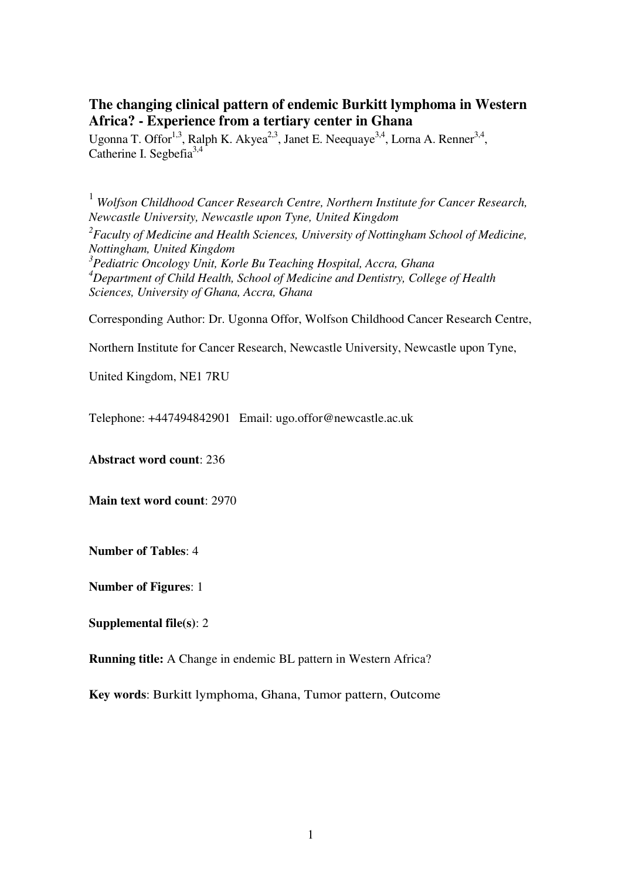# **The changing clinical pattern of endemic Burkitt lymphoma in Western Africa? - Experience from a tertiary center in Ghana**

Ugonna T. Offor<sup>1,3</sup>, Ralph K. Akyea<sup>2,3</sup>, Janet E. Neequaye<sup>3,4</sup>, Lorna A. Renner<sup>3,4</sup>, Catherine I. Segbefia<sup>3,4</sup>

<sup>1</sup> *Wolfson Childhood Cancer Research Centre, Northern Institute for Cancer Research, Newcastle University, Newcastle upon Tyne, United Kingdom 2 Faculty of Medicine and Health Sciences, University of Nottingham School of Medicine, Nottingham, United Kingdom 3 Pediatric Oncology Unit, Korle Bu Teaching Hospital, Accra, Ghana <sup>4</sup>Department of Child Health, School of Medicine and Dentistry, College of Health Sciences, University of Ghana, Accra, Ghana* 

Corresponding Author: Dr. Ugonna Offor, Wolfson Childhood Cancer Research Centre,

Northern Institute for Cancer Research, Newcastle University, Newcastle upon Tyne,

United Kingdom, NE1 7RU

Telephone: +447494842901 Email: ugo.offor@newcastle.ac.uk

**Abstract word count**: 236

**Main text word count**: 2970

**Number of Tables**: 4

**Number of Figures**: 1

**Supplemental file(s)**: 2

**Running title:** A Change in endemic BL pattern in Western Africa?

**Key words**: Burkitt lymphoma, Ghana, Tumor pattern, Outcome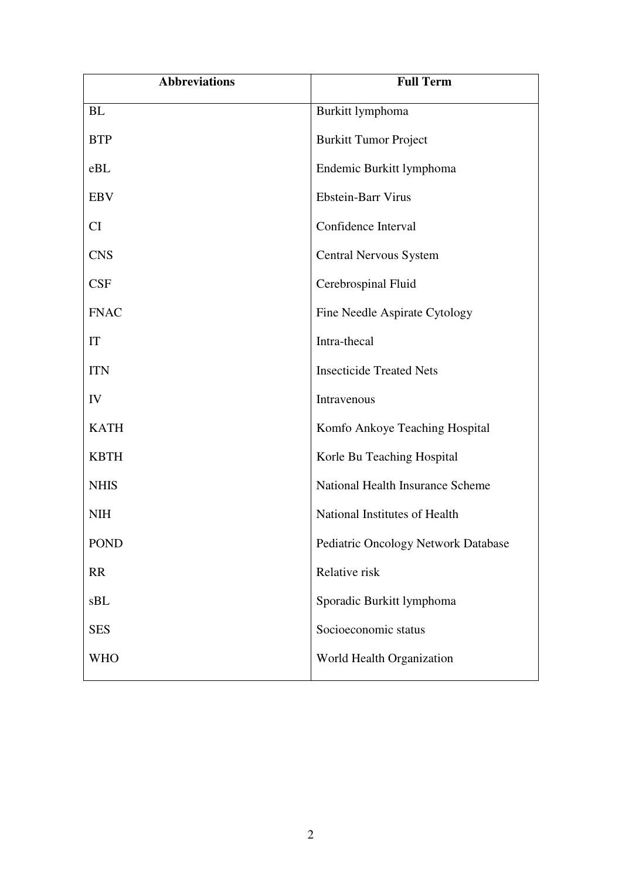| <b>Abbreviations</b> | <b>Full Term</b>                    |
|----------------------|-------------------------------------|
| <b>BL</b>            | Burkitt lymphoma                    |
| <b>BTP</b>           | <b>Burkitt Tumor Project</b>        |
| eBL                  | Endemic Burkitt lymphoma            |
| <b>EBV</b>           | <b>Ebstein-Barr Virus</b>           |
| CI                   | Confidence Interval                 |
| <b>CNS</b>           | <b>Central Nervous System</b>       |
| <b>CSF</b>           | Cerebrospinal Fluid                 |
| <b>FNAC</b>          | Fine Needle Aspirate Cytology       |
| IT                   | Intra-thecal                        |
| <b>ITN</b>           | <b>Insecticide Treated Nets</b>     |
| IV                   | Intravenous                         |
| <b>KATH</b>          | Komfo Ankoye Teaching Hospital      |
| <b>KBTH</b>          | Korle Bu Teaching Hospital          |
| <b>NHIS</b>          | National Health Insurance Scheme    |
| <b>NIH</b>           | National Institutes of Health       |
| <b>POND</b>          | Pediatric Oncology Network Database |
| RR                   | Relative risk                       |
| sBL                  | Sporadic Burkitt lymphoma           |
| <b>SES</b>           | Socioeconomic status                |
| <b>WHO</b>           | World Health Organization           |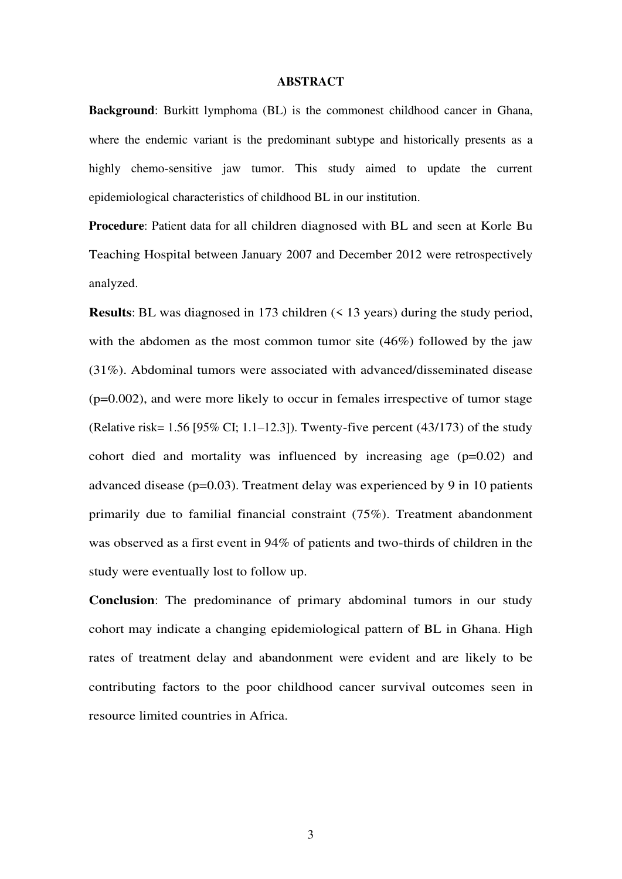#### **ABSTRACT**

**Background**: Burkitt lymphoma (BL) is the commonest childhood cancer in Ghana, where the endemic variant is the predominant subtype and historically presents as a highly chemo-sensitive jaw tumor. This study aimed to update the current epidemiological characteristics of childhood BL in our institution.

**Procedure**: Patient data for all children diagnosed with BL and seen at Korle Bu Teaching Hospital between January 2007 and December 2012 were retrospectively analyzed.

**Results**: BL was diagnosed in 173 children (< 13 years) during the study period, with the abdomen as the most common tumor site (46%) followed by the jaw (31%). Abdominal tumors were associated with advanced/disseminated disease  $(p=0.002)$ , and were more likely to occur in females irrespective of tumor stage (Relative risk= 1.56 [95% CI; 1.1–12.3]). Twenty-five percent (43/173) of the study cohort died and mortality was influenced by increasing age  $(p=0.02)$  and advanced disease (p=0.03). Treatment delay was experienced by 9 in 10 patients primarily due to familial financial constraint (75%). Treatment abandonment was observed as a first event in 94% of patients and two-thirds of children in the study were eventually lost to follow up.

**Conclusion**: The predominance of primary abdominal tumors in our study cohort may indicate a changing epidemiological pattern of BL in Ghana. High rates of treatment delay and abandonment were evident and are likely to be contributing factors to the poor childhood cancer survival outcomes seen in resource limited countries in Africa.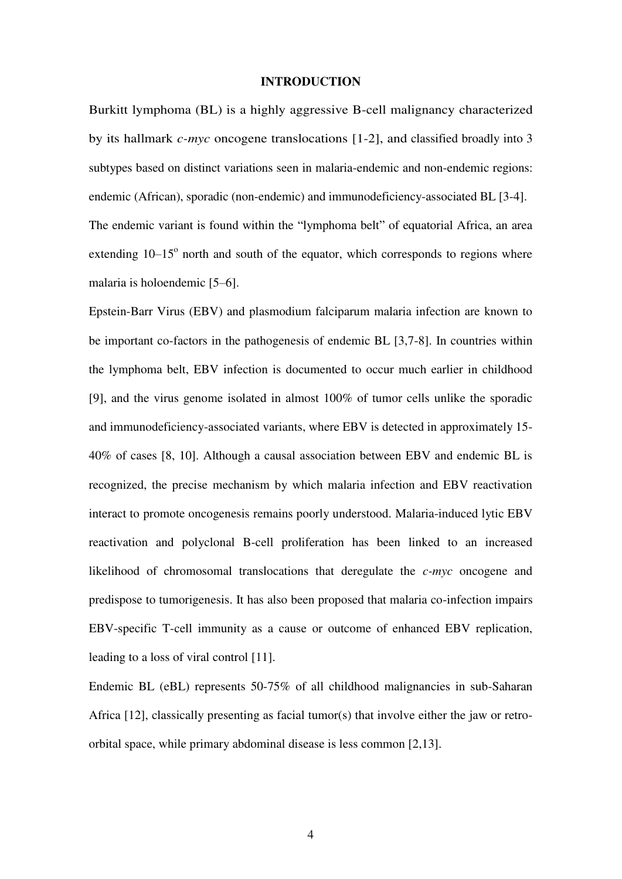#### **INTRODUCTION**

Burkitt lymphoma (BL) is a highly aggressive B-cell malignancy characterized by its hallmark *c-myc* oncogene translocations [1-2], and classified broadly into 3 subtypes based on distinct variations seen in malaria-endemic and non-endemic regions: endemic (African), sporadic (non-endemic) and immunodeficiency-associated BL [3-4]. The endemic variant is found within the "lymphoma belt" of equatorial Africa, an area extending  $10-15^\circ$  north and south of the equator, which corresponds to regions where malaria is holoendemic [5–6].

Epstein-Barr Virus (EBV) and plasmodium falciparum malaria infection are known to be important co-factors in the pathogenesis of endemic BL [3,7-8]. In countries within the lymphoma belt, EBV infection is documented to occur much earlier in childhood [9], and the virus genome isolated in almost 100% of tumor cells unlike the sporadic and immunodeficiency-associated variants, where EBV is detected in approximately 15- 40% of cases [8, 10]. Although a causal association between EBV and endemic BL is recognized, the precise mechanism by which malaria infection and EBV reactivation interact to promote oncogenesis remains poorly understood. Malaria-induced lytic EBV reactivation and polyclonal B-cell proliferation has been linked to an increased likelihood of chromosomal translocations that deregulate the *c-myc* oncogene and predispose to tumorigenesis. It has also been proposed that malaria co-infection impairs EBV-specific T-cell immunity as a cause or outcome of enhanced EBV replication, leading to a loss of viral control [11].

Endemic BL (eBL) represents 50-75% of all childhood malignancies in sub-Saharan Africa  $[12]$ , classically presenting as facial tumor(s) that involve either the jaw or retroorbital space, while primary abdominal disease is less common [2,13].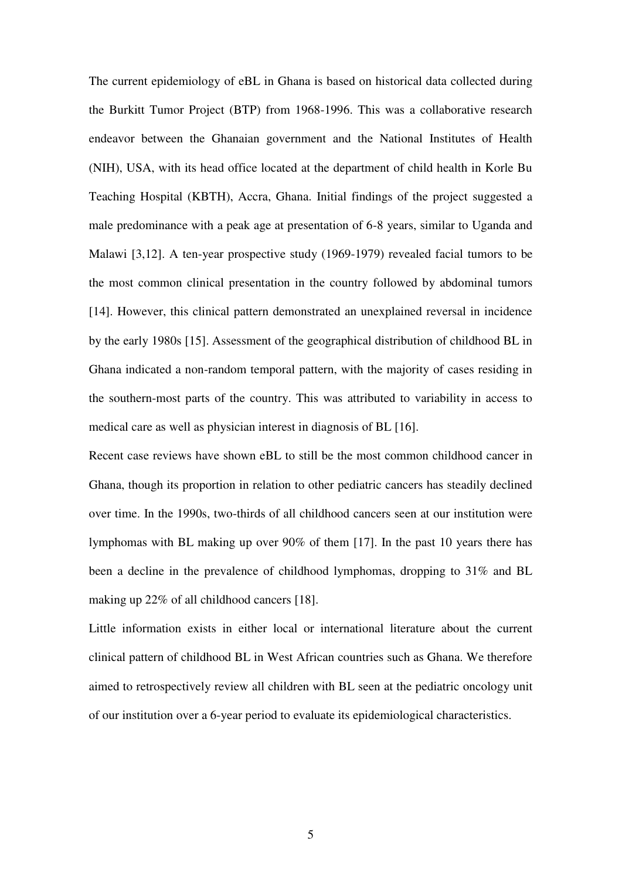The current epidemiology of eBL in Ghana is based on historical data collected during the Burkitt Tumor Project (BTP) from 1968-1996. This was a collaborative research endeavor between the Ghanaian government and the National Institutes of Health (NIH), USA, with its head office located at the department of child health in Korle Bu Teaching Hospital (KBTH), Accra, Ghana. Initial findings of the project suggested a male predominance with a peak age at presentation of 6-8 years, similar to Uganda and Malawi [3,12]. A ten-year prospective study (1969-1979) revealed facial tumors to be the most common clinical presentation in the country followed by abdominal tumors [14]. However, this clinical pattern demonstrated an unexplained reversal in incidence by the early 1980s [15]. Assessment of the geographical distribution of childhood BL in Ghana indicated a non-random temporal pattern, with the majority of cases residing in the southern-most parts of the country. This was attributed to variability in access to medical care as well as physician interest in diagnosis of BL [16].

Recent case reviews have shown eBL to still be the most common childhood cancer in Ghana, though its proportion in relation to other pediatric cancers has steadily declined over time. In the 1990s, two-thirds of all childhood cancers seen at our institution were lymphomas with BL making up over 90% of them [17]. In the past 10 years there has been a decline in the prevalence of childhood lymphomas, dropping to 31% and BL making up 22% of all childhood cancers [18].

Little information exists in either local or international literature about the current clinical pattern of childhood BL in West African countries such as Ghana. We therefore aimed to retrospectively review all children with BL seen at the pediatric oncology unit of our institution over a 6-year period to evaluate its epidemiological characteristics.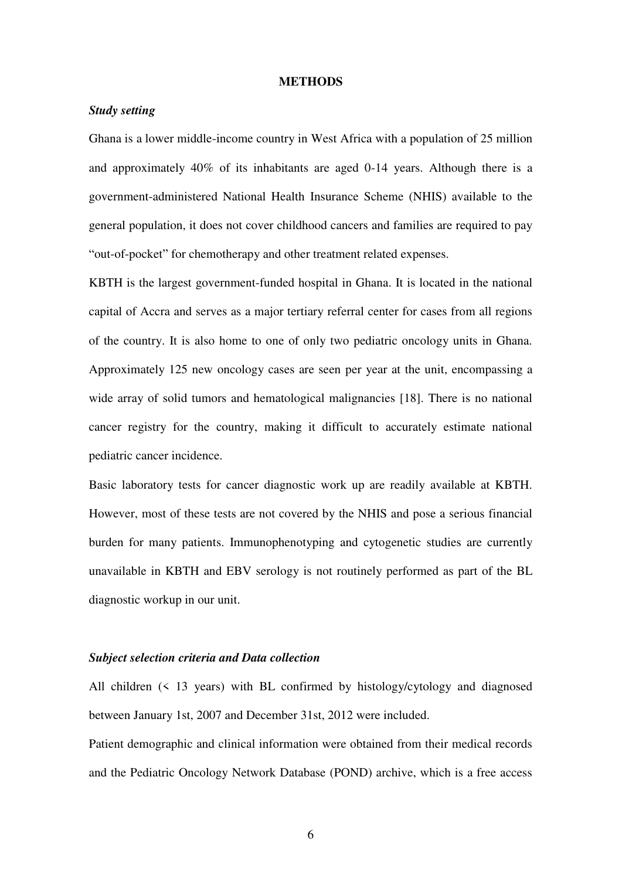#### **METHODS**

# *Study setting*

Ghana is a lower middle-income country in West Africa with a population of 25 million and approximately 40% of its inhabitants are aged 0-14 years. Although there is a government-administered National Health Insurance Scheme (NHIS) available to the general population, it does not cover childhood cancers and families are required to pay "out-of-pocket" for chemotherapy and other treatment related expenses.

KBTH is the largest government-funded hospital in Ghana. It is located in the national capital of Accra and serves as a major tertiary referral center for cases from all regions of the country. It is also home to one of only two pediatric oncology units in Ghana. Approximately 125 new oncology cases are seen per year at the unit, encompassing a wide array of solid tumors and hematological malignancies [18]. There is no national cancer registry for the country, making it difficult to accurately estimate national pediatric cancer incidence.

Basic laboratory tests for cancer diagnostic work up are readily available at KBTH. However, most of these tests are not covered by the NHIS and pose a serious financial burden for many patients. Immunophenotyping and cytogenetic studies are currently unavailable in KBTH and EBV serology is not routinely performed as part of the BL diagnostic workup in our unit.

### *Subject selection criteria and Data collection*

All children (< 13 years) with BL confirmed by histology/cytology and diagnosed between January 1st, 2007 and December 31st, 2012 were included.

Patient demographic and clinical information were obtained from their medical records and the Pediatric Oncology Network Database (POND) archive, which is a free access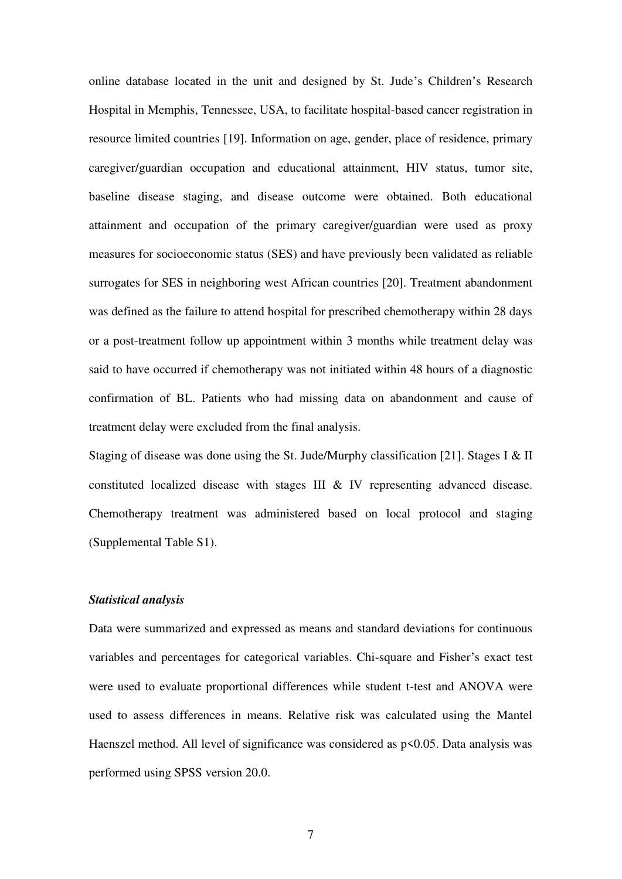online database located in the unit and designed by St. Jude's Children's Research Hospital in Memphis, Tennessee, USA, to facilitate hospital-based cancer registration in resource limited countries [19]. Information on age, gender, place of residence, primary caregiver/guardian occupation and educational attainment, HIV status, tumor site, baseline disease staging, and disease outcome were obtained. Both educational attainment and occupation of the primary caregiver/guardian were used as proxy measures for socioeconomic status (SES) and have previously been validated as reliable surrogates for SES in neighboring west African countries [20]. Treatment abandonment was defined as the failure to attend hospital for prescribed chemotherapy within 28 days or a post-treatment follow up appointment within 3 months while treatment delay was said to have occurred if chemotherapy was not initiated within 48 hours of a diagnostic confirmation of BL. Patients who had missing data on abandonment and cause of treatment delay were excluded from the final analysis.

Staging of disease was done using the St. Jude/Murphy classification [21]. Stages I & II constituted localized disease with stages III & IV representing advanced disease. Chemotherapy treatment was administered based on local protocol and staging (Supplemental Table S1).

# *Statistical analysis*

Data were summarized and expressed as means and standard deviations for continuous variables and percentages for categorical variables. Chi-square and Fisher's exact test were used to evaluate proportional differences while student t-test and ANOVA were used to assess differences in means. Relative risk was calculated using the Mantel Haenszel method. All level of significance was considered as  $p$ <0.05. Data analysis was performed using SPSS version 20.0.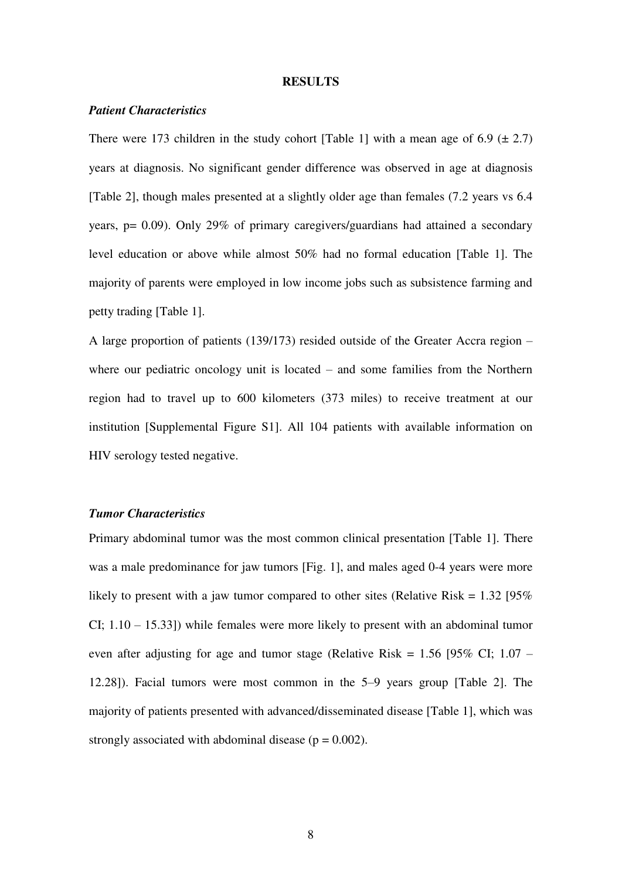## **RESULTS**

# *Patient Characteristics*

There were 173 children in the study cohort [Table 1] with a mean age of 6.9  $(\pm 2.7)$ years at diagnosis. No significant gender difference was observed in age at diagnosis [Table 2], though males presented at a slightly older age than females (7.2 years vs 6.4 years, p= 0.09). Only 29% of primary caregivers/guardians had attained a secondary level education or above while almost 50% had no formal education [Table 1]. The majority of parents were employed in low income jobs such as subsistence farming and petty trading [Table 1].

A large proportion of patients (139/173) resided outside of the Greater Accra region – where our pediatric oncology unit is located – and some families from the Northern region had to travel up to 600 kilometers (373 miles) to receive treatment at our institution [Supplemental Figure S1]. All 104 patients with available information on HIV serology tested negative.

#### *Tumor Characteristics*

Primary abdominal tumor was the most common clinical presentation [Table 1]. There was a male predominance for jaw tumors [Fig. 1], and males aged 0-4 years were more likely to present with a jaw tumor compared to other sites (Relative Risk =  $1.32$  [95% CI; 1.10 – 15.33]) while females were more likely to present with an abdominal tumor even after adjusting for age and tumor stage (Relative Risk = 1.56 [95% CI; 1.07 – 12.28]). Facial tumors were most common in the 5–9 years group [Table 2]. The majority of patients presented with advanced/disseminated disease [Table 1], which was strongly associated with abdominal disease ( $p = 0.002$ ).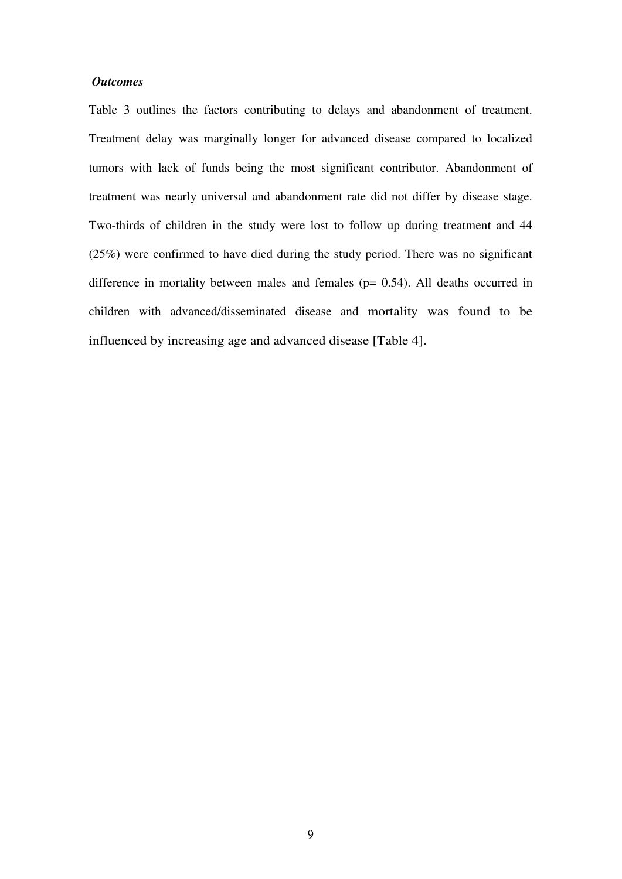### *Outcomes*

Table 3 outlines the factors contributing to delays and abandonment of treatment. Treatment delay was marginally longer for advanced disease compared to localized tumors with lack of funds being the most significant contributor. Abandonment of treatment was nearly universal and abandonment rate did not differ by disease stage. Two-thirds of children in the study were lost to follow up during treatment and 44 (25%) were confirmed to have died during the study period. There was no significant difference in mortality between males and females (p= 0.54). All deaths occurred in children with advanced/disseminated disease and mortality was found to be influenced by increasing age and advanced disease [Table 4].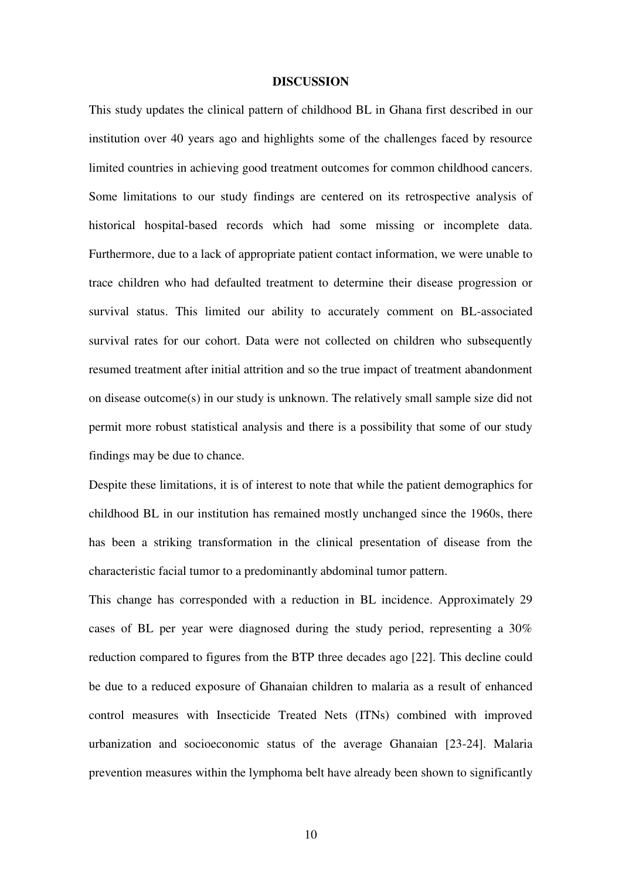#### **DISCUSSION**

This study updates the clinical pattern of childhood BL in Ghana first described in our institution over 40 years ago and highlights some of the challenges faced by resource limited countries in achieving good treatment outcomes for common childhood cancers. Some limitations to our study findings are centered on its retrospective analysis of historical hospital-based records which had some missing or incomplete data. Furthermore, due to a lack of appropriate patient contact information, we were unable to trace children who had defaulted treatment to determine their disease progression or survival status. This limited our ability to accurately comment on BL-associated survival rates for our cohort. Data were not collected on children who subsequently resumed treatment after initial attrition and so the true impact of treatment abandonment on disease outcome(s) in our study is unknown. The relatively small sample size did not permit more robust statistical analysis and there is a possibility that some of our study findings may be due to chance.

Despite these limitations, it is of interest to note that while the patient demographics for childhood BL in our institution has remained mostly unchanged since the 1960s, there has been a striking transformation in the clinical presentation of disease from the characteristic facial tumor to a predominantly abdominal tumor pattern.

This change has corresponded with a reduction in BL incidence. Approximately 29 cases of BL per year were diagnosed during the study period, representing a 30% reduction compared to figures from the BTP three decades ago [22]. This decline could be due to a reduced exposure of Ghanaian children to malaria as a result of enhanced control measures with Insecticide Treated Nets (ITNs) combined with improved urbanization and socioeconomic status of the average Ghanaian [23-24]. Malaria prevention measures within the lymphoma belt have already been shown to significantly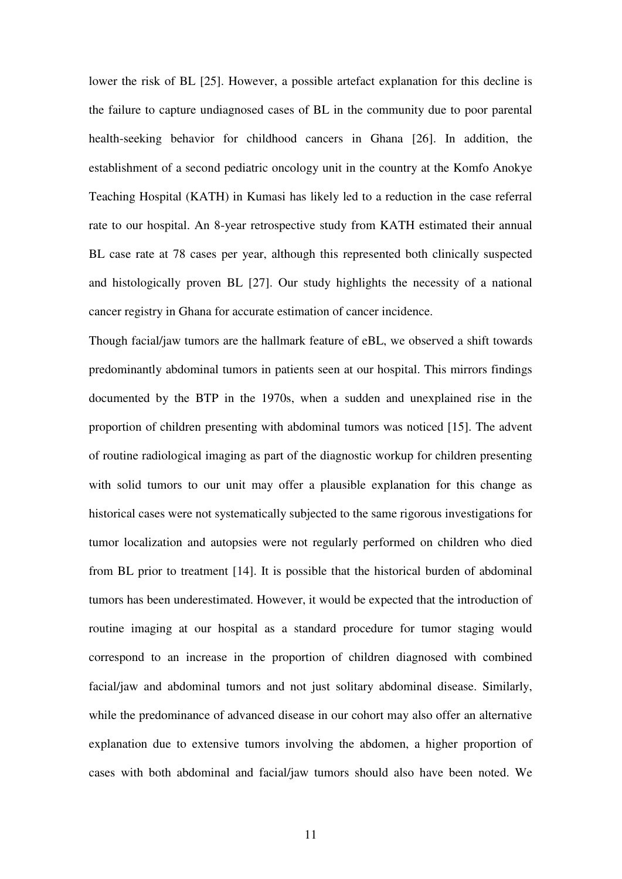lower the risk of BL [25]. However, a possible artefact explanation for this decline is the failure to capture undiagnosed cases of BL in the community due to poor parental health-seeking behavior for childhood cancers in Ghana [26]. In addition, the establishment of a second pediatric oncology unit in the country at the Komfo Anokye Teaching Hospital (KATH) in Kumasi has likely led to a reduction in the case referral rate to our hospital. An 8-year retrospective study from KATH estimated their annual BL case rate at 78 cases per year, although this represented both clinically suspected and histologically proven BL [27]. Our study highlights the necessity of a national cancer registry in Ghana for accurate estimation of cancer incidence.

Though facial/jaw tumors are the hallmark feature of eBL, we observed a shift towards predominantly abdominal tumors in patients seen at our hospital. This mirrors findings documented by the BTP in the 1970s, when a sudden and unexplained rise in the proportion of children presenting with abdominal tumors was noticed [15]. The advent of routine radiological imaging as part of the diagnostic workup for children presenting with solid tumors to our unit may offer a plausible explanation for this change as historical cases were not systematically subjected to the same rigorous investigations for tumor localization and autopsies were not regularly performed on children who died from BL prior to treatment [14]. It is possible that the historical burden of abdominal tumors has been underestimated. However, it would be expected that the introduction of routine imaging at our hospital as a standard procedure for tumor staging would correspond to an increase in the proportion of children diagnosed with combined facial/jaw and abdominal tumors and not just solitary abdominal disease. Similarly, while the predominance of advanced disease in our cohort may also offer an alternative explanation due to extensive tumors involving the abdomen, a higher proportion of cases with both abdominal and facial/jaw tumors should also have been noted. We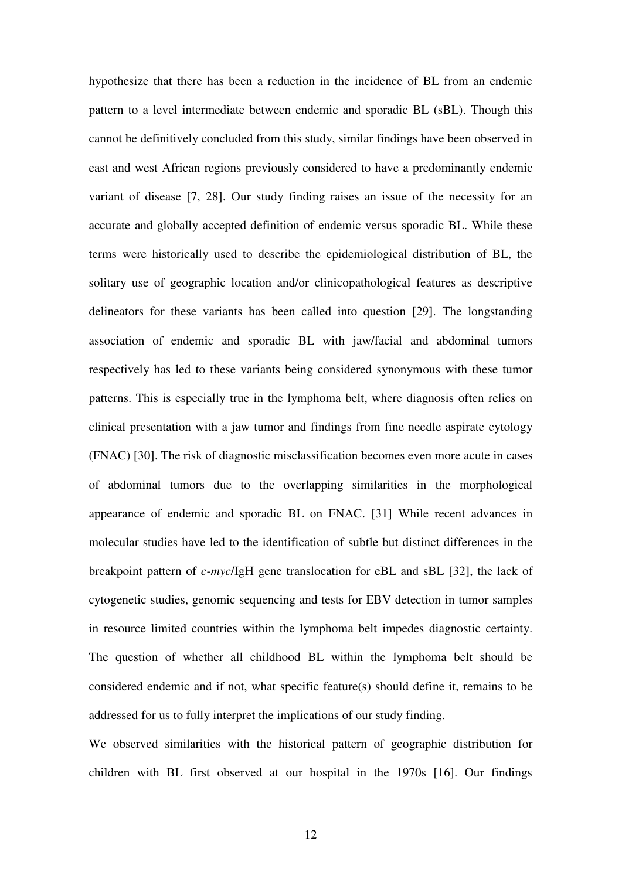hypothesize that there has been a reduction in the incidence of BL from an endemic pattern to a level intermediate between endemic and sporadic BL (sBL). Though this cannot be definitively concluded from this study, similar findings have been observed in east and west African regions previously considered to have a predominantly endemic variant of disease [7, 28]. Our study finding raises an issue of the necessity for an accurate and globally accepted definition of endemic versus sporadic BL. While these terms were historically used to describe the epidemiological distribution of BL, the solitary use of geographic location and/or clinicopathological features as descriptive delineators for these variants has been called into question [29]. The longstanding association of endemic and sporadic BL with jaw/facial and abdominal tumors respectively has led to these variants being considered synonymous with these tumor patterns. This is especially true in the lymphoma belt, where diagnosis often relies on clinical presentation with a jaw tumor and findings from fine needle aspirate cytology (FNAC) [30]. The risk of diagnostic misclassification becomes even more acute in cases of abdominal tumors due to the overlapping similarities in the morphological appearance of endemic and sporadic BL on FNAC. [31] While recent advances in molecular studies have led to the identification of subtle but distinct differences in the breakpoint pattern of *c-myc*/IgH gene translocation for eBL and sBL [32], the lack of cytogenetic studies, genomic sequencing and tests for EBV detection in tumor samples in resource limited countries within the lymphoma belt impedes diagnostic certainty. The question of whether all childhood BL within the lymphoma belt should be considered endemic and if not, what specific feature(s) should define it, remains to be addressed for us to fully interpret the implications of our study finding.

We observed similarities with the historical pattern of geographic distribution for children with BL first observed at our hospital in the 1970s [16]. Our findings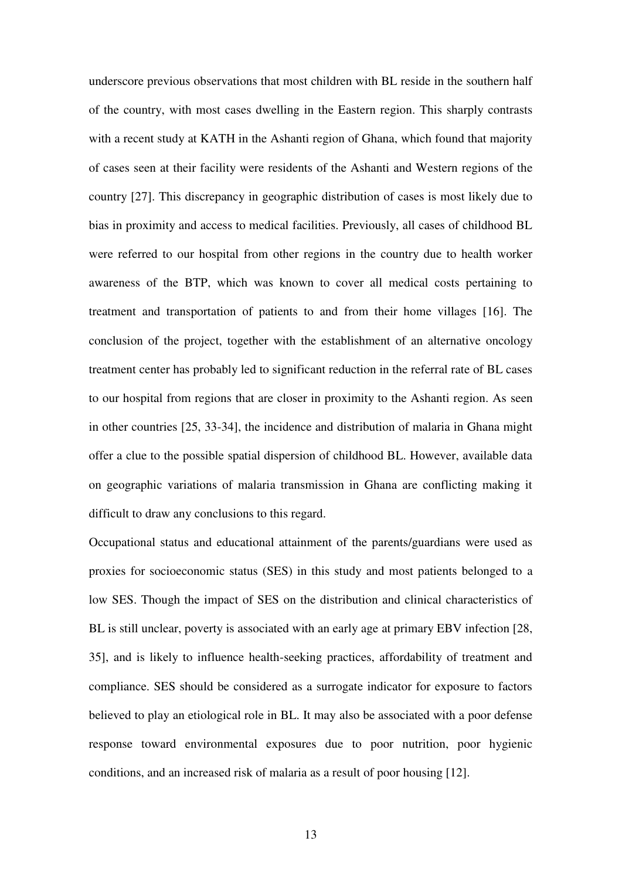underscore previous observations that most children with BL reside in the southern half of the country, with most cases dwelling in the Eastern region. This sharply contrasts with a recent study at KATH in the Ashanti region of Ghana, which found that majority of cases seen at their facility were residents of the Ashanti and Western regions of the country [27]. This discrepancy in geographic distribution of cases is most likely due to bias in proximity and access to medical facilities. Previously, all cases of childhood BL were referred to our hospital from other regions in the country due to health worker awareness of the BTP, which was known to cover all medical costs pertaining to treatment and transportation of patients to and from their home villages [16]. The conclusion of the project, together with the establishment of an alternative oncology treatment center has probably led to significant reduction in the referral rate of BL cases to our hospital from regions that are closer in proximity to the Ashanti region. As seen in other countries [25, 33-34], the incidence and distribution of malaria in Ghana might offer a clue to the possible spatial dispersion of childhood BL. However, available data on geographic variations of malaria transmission in Ghana are conflicting making it difficult to draw any conclusions to this regard.

Occupational status and educational attainment of the parents/guardians were used as proxies for socioeconomic status (SES) in this study and most patients belonged to a low SES. Though the impact of SES on the distribution and clinical characteristics of BL is still unclear, poverty is associated with an early age at primary EBV infection [28, 35], and is likely to influence health-seeking practices, affordability of treatment and compliance. SES should be considered as a surrogate indicator for exposure to factors believed to play an etiological role in BL. It may also be associated with a poor defense response toward environmental exposures due to poor nutrition, poor hygienic conditions, and an increased risk of malaria as a result of poor housing [12].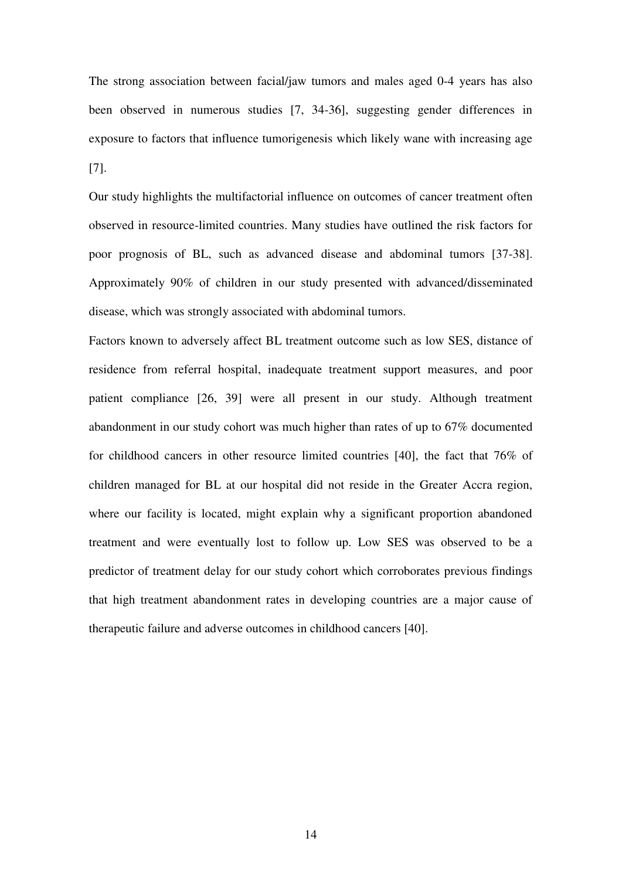The strong association between facial/jaw tumors and males aged 0-4 years has also been observed in numerous studies [7, 34-36], suggesting gender differences in exposure to factors that influence tumorigenesis which likely wane with increasing age [7].

Our study highlights the multifactorial influence on outcomes of cancer treatment often observed in resource-limited countries. Many studies have outlined the risk factors for poor prognosis of BL, such as advanced disease and abdominal tumors [37-38]. Approximately 90% of children in our study presented with advanced/disseminated disease, which was strongly associated with abdominal tumors.

Factors known to adversely affect BL treatment outcome such as low SES, distance of residence from referral hospital, inadequate treatment support measures, and poor patient compliance [26, 39] were all present in our study. Although treatment abandonment in our study cohort was much higher than rates of up to 67% documented for childhood cancers in other resource limited countries [40], the fact that 76% of children managed for BL at our hospital did not reside in the Greater Accra region, where our facility is located, might explain why a significant proportion abandoned treatment and were eventually lost to follow up. Low SES was observed to be a predictor of treatment delay for our study cohort which corroborates previous findings that high treatment abandonment rates in developing countries are a major cause of therapeutic failure and adverse outcomes in childhood cancers [40].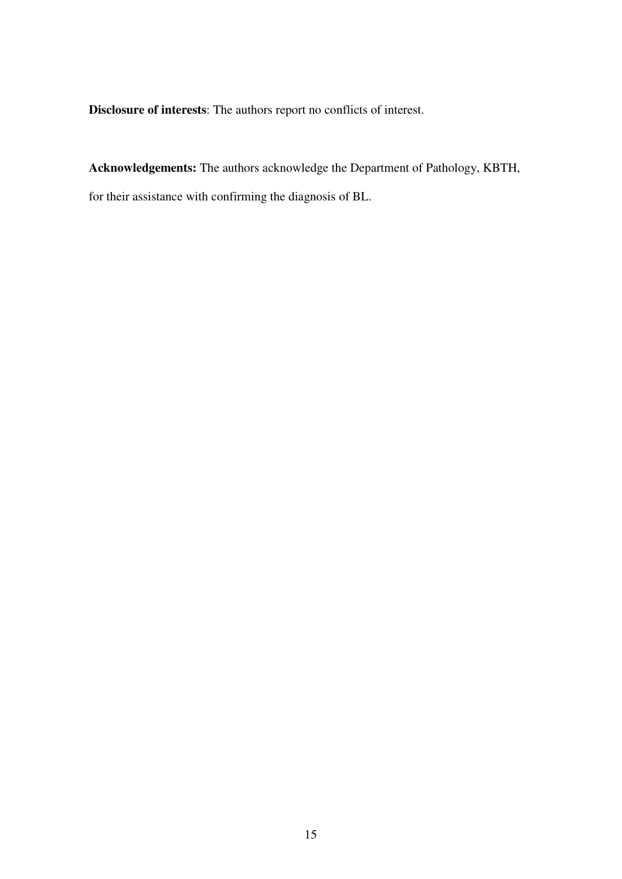**Disclosure of interests**: The authors report no conflicts of interest.

**Acknowledgements:** The authors acknowledge the Department of Pathology, KBTH, for their assistance with confirming the diagnosis of BL.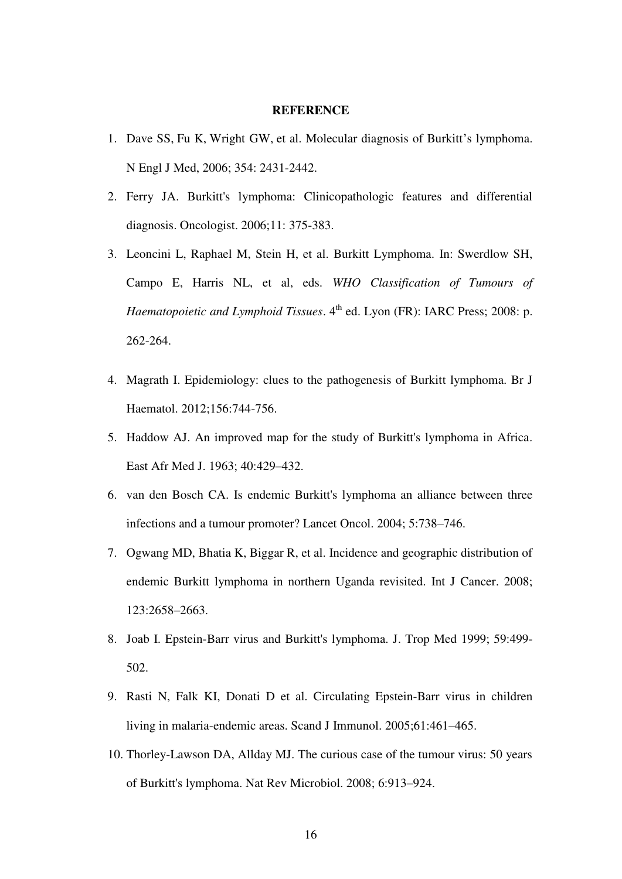# **REFERENCE**

- 1. Dave SS, Fu K, Wright GW, et al. Molecular diagnosis of Burkitt's lymphoma. N Engl J Med, 2006; 354: 2431-2442.
- 2. Ferry JA. Burkitt's lymphoma: Clinicopathologic features and differential diagnosis. Oncologist. 2006;11: 375-383.
- 3. Leoncini L, Raphael M, Stein H, et al. Burkitt Lymphoma. In: Swerdlow SH, Campo E, Harris NL, et al, eds. *WHO Classification of Tumours of Haematopoietic and Lymphoid Tissues*. 4<sup>th</sup> ed. Lyon (FR): IARC Press; 2008: p. 262-264.
- 4. Magrath I. Epidemiology: clues to the pathogenesis of Burkitt lymphoma. Br J Haematol. 2012;156:744-756.
- 5. Haddow AJ. An improved map for the study of Burkitt's lymphoma in Africa. East Afr Med J. 1963; 40:429–432.
- 6. van den Bosch CA. Is endemic Burkitt's lymphoma an alliance between three infections and a tumour promoter? Lancet Oncol. 2004; 5:738–746.
- 7. Ogwang MD, Bhatia K, Biggar R, et al. Incidence and geographic distribution of endemic Burkitt lymphoma in northern Uganda revisited. [Int J Cancer. 2008;](http://www.ncbi.nlm.nih.gov/entrez/eutils/elink.fcgi?dbfrom=pubmed&retmode=ref&cmd=prlinks&id=18767045)  [123:2658](http://www.ncbi.nlm.nih.gov/entrez/eutils/elink.fcgi?dbfrom=pubmed&retmode=ref&cmd=prlinks&id=18767045)–2663.
- 8. Joab I. Epstein-Barr virus and Burkitt's lymphoma. J. Trop Med 1999; 59:499- 502.
- 9. [Rasti N,](http://www.ncbi.nlm.nih.gov/pubmed?term=Rasti%20N%5BAuthor%5D&cauthor=true&cauthor_uid=15882438) Falk KI, [Donati D](http://www.ncbi.nlm.nih.gov/pubmed?term=Donati%20D%5BAuthor%5D&cauthor=true&cauthor_uid=15882438) et al. Circulating Epstein-Barr virus in children living in malaria-endemic areas. [Scand J Immunol.](http://www.ncbi.nlm.nih.gov/pubmed/15882438) 2005;61:461–465.
- 10. Thorley-Lawson DA, Allday MJ. The curious case of the tumour virus: 50 years of Burkitt's lymphoma. Nat Rev Microbiol. 2008; 6:913–924.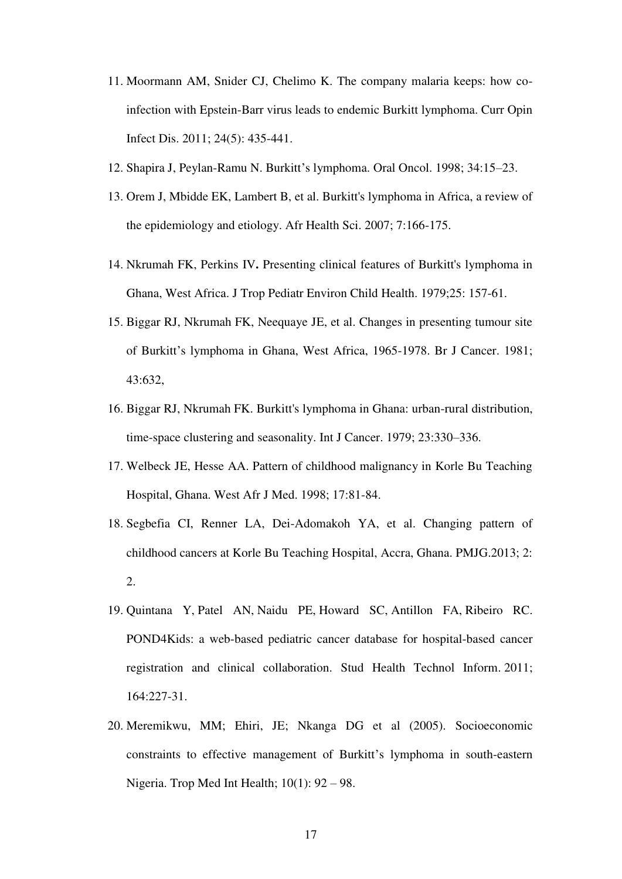- 11. Moormann AM, Snider CJ, Chelimo K. The company malaria keeps: how coinfection with Epstein-Barr virus leads to endemic Burkitt lymphoma. Curr Opin Infect Dis. 2011; 24(5): 435-441.
- 12. Shapira J, Peylan-Ramu N. Burkitt's lymphoma. Oral Oncol. 1998; 34:15–23.
- 13. [Orem J,](http://www.ncbi.nlm.nih.gov/pubmed?term=Orem%20J%5BAuthor%5D&cauthor=true&cauthor_uid=18052871) [Mbidde EK,](http://www.ncbi.nlm.nih.gov/pubmed?term=Mbidde%20EK%5BAuthor%5D&cauthor=true&cauthor_uid=18052871) [Lambert B,](http://www.ncbi.nlm.nih.gov/pubmed?term=Lambert%20B%5BAuthor%5D&cauthor=true&cauthor_uid=18052871) et al. Burkitt's lymphoma in Africa, a review of the epidemiology and etiology. Afr Health Sci. 2007; 7:166-175.
- 14. Nkrumah FK, Perkins IV**.** Presenting clinical features of Burkitt's lymphoma in Ghana, West Africa. [J Trop Pediatr Environ Child Health.](http://www.ncbi.nlm.nih.gov/pubmed/261105) 1979;25: 157-61.
- 15. Biggar RJ, Nkrumah FK, Neequaye JE, et al. Changes in presenting tumour site of Burkitt's lymphoma in Ghana, West Africa, 1965-1978. Br J Cancer. 1981; 43:632,
- 16. Biggar RJ, Nkrumah FK. Burkitt's lymphoma in Ghana: urban-rural distribution, time-space clustering and seasonality. Int J Cancer. 1979; 23:330–336.
- 17. Welbeck JE, Hesse AA. Pattern of childhood malignancy in Korle Bu Teaching Hospital, Ghana. West Afr J Med. 1998; 17:81-84.
- 18. Segbefia CI, Renner LA, Dei-Adomakoh YA, et al. Changing pattern of childhood cancers at Korle Bu Teaching Hospital, Accra, Ghana. PMJG.2013; 2: 2.
- 19. Quintana Y, Patel AN, Naidu PE, Howard SC, Antillon FA, Ribeiro RC. POND4Kids: a web-based pediatric cancer database for hospital-based cancer registration and clinical collaboration. Stud Health Technol Inform. 2011; 164:227-31.
- 20. Meremikwu, MM; Ehiri, JE; Nkanga DG et al (2005). Socioeconomic constraints to effective management of Burkitt's lymphoma in south-eastern Nigeria. Trop Med Int Health;  $10(1)$ :  $92 - 98$ .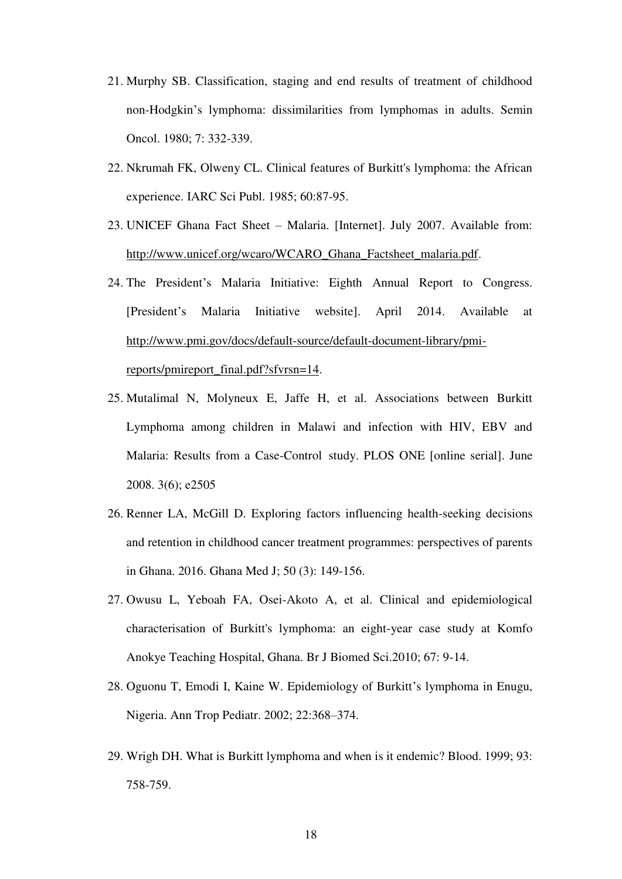- 21. Murphy SB. Classification, staging and end results of treatment of childhood non-Hodgkin's lymphoma: dissimilarities from lymphomas in adults. Semin Oncol. 1980; 7: 332-339.
- 22. Nkrumah FK, Olweny CL. Clinical features of Burkitt's lymphoma: the African experience. [IARC Sci Publ.](http://www.ncbi.nlm.nih.gov/pubmed/4065952) 1985; 60:87-95.
- 23. UNICEF Ghana Fact Sheet Malaria. [Internet]. July 2007. Available from: [http://www.unicef.org/wcaro/WCARO\\_Ghana\\_Factsheet\\_malaria.pdf.](http://www.unicef.org/wcaro/WCARO_Ghana_Factsheet_malaria.pdf)
- 24. The President's Malaria Initiative: Eighth Annual Report to Congress. [President's Malaria Initiative website]. April 2014. Available at [http://www.pmi.gov/docs/default-source/default-document-library/pmi](http://www.pmi.gov/docs/default-source/default-document-library/pmi-reports/pmireport_final.pdf?sfvrsn=14)[reports/pmireport\\_final.pdf?sfvrsn=14.](http://www.pmi.gov/docs/default-source/default-document-library/pmi-reports/pmireport_final.pdf?sfvrsn=14)
- 25. Mutalimal N, Molyneux E, Jaffe H, et al. Associations between Burkitt Lymphoma among children in Malawi and infection with HIV, EBV and Malaria: Results from a Case-Control study. PLOS ONE [online serial]. June 2008. 3(6); e2505
- 26. Renner LA, McGill D. Exploring factors influencing health-seeking decisions and retention in childhood cancer treatment programmes: perspectives of parents in Ghana. 2016. Ghana Med J; 50 (3): 149-156.
- 27. Owusu L, Yeboah FA, Osei-Akoto A, et al. Clinical and epidemiological characterisation of Burkitt's lymphoma: an eight-year case study at Komfo Anokye Teaching Hospital, Ghana. Br J Biomed Sci.2010; 67: 9-14.
- 28. Oguonu T, Emodi I, Kaine W. Epidemiology of Burkitt's lymphoma in Enugu, Nigeria. Ann Trop Pediatr. 2002; 22:368–374.
- 29. Wrigh DH. What is Burkitt lymphoma and when is it endemic? Blood. 1999; 93: 758-759.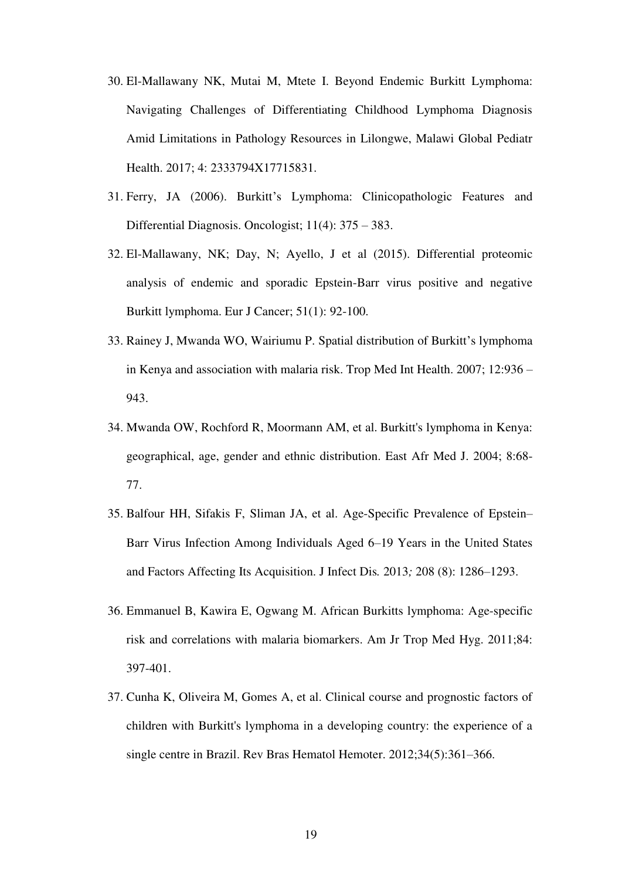- 30. El-Mallawany NK, Mutai M, Mtete I. Beyond Endemic Burkitt Lymphoma: Navigating Challenges of Differentiating Childhood Lymphoma Diagnosis Amid Limitations in Pathology Resources in Lilongwe, Malawi Global Pediatr Health. 2017; 4: 2333794X17715831.
- 31. Ferry, JA (2006). Burkitt's Lymphoma: Clinicopathologic Features and Differential Diagnosis. Oncologist; 11(4): 375 – 383.
- 32. El-Mallawany, NK; Day, N; Ayello, J et al (2015). Differential proteomic analysis of endemic and sporadic Epstein-Barr virus positive and negative Burkitt lymphoma. Eur J Cancer; 51(1): 92-100.
- 33. Rainey J, Mwanda WO, Wairiumu P. Spatial distribution of Burkitt's lymphoma in Kenya and association with malaria risk. Trop Med Int Health. 2007; 12:936 – 943.
- 34. [Mwanda OW,](http://www.ncbi.nlm.nih.gov/pubmed?term=Mwanda%20OW%5BAuthor%5D&cauthor=true&cauthor_uid=15622605) [Rochford R,](http://www.ncbi.nlm.nih.gov/pubmed?term=Rochford%20R%5BAuthor%5D&cauthor=true&cauthor_uid=15622605) [Moormann AM,](http://www.ncbi.nlm.nih.gov/pubmed?term=Moormann%20AM%5BAuthor%5D&cauthor=true&cauthor_uid=15622605) et al. Burkitt's lymphoma in Kenya: geographical, age, gender and ethnic distribution. [East Afr Med J.](http://www.ncbi.nlm.nih.gov/pubmed/15622605) 2004; 8:68- 77.
- 35. Balfour HH, Sifakis F, Sliman JA, et al. Age-Specific Prevalence of Epstein– Barr Virus Infection Among Individuals Aged 6–19 Years in the United States and Factors Affecting Its Acquisition. J Infect Dis*.* 2013*;* 208 (8): 1286–1293.
- 36. Emmanuel B, Kawira E, Ogwang M. African Burkitts lymphoma: Age-specific risk and correlations with malaria biomarkers. Am Jr Trop Med Hyg. 2011;84: 397-401.
- 37. Cunha K, Oliveira M, Gomes A, et al. Clinical course and prognostic factors of children with Burkitt's lymphoma in a developing country: the experience of a single centre in Brazil. Rev Bras Hematol Hemoter. 2012;34(5):361–366.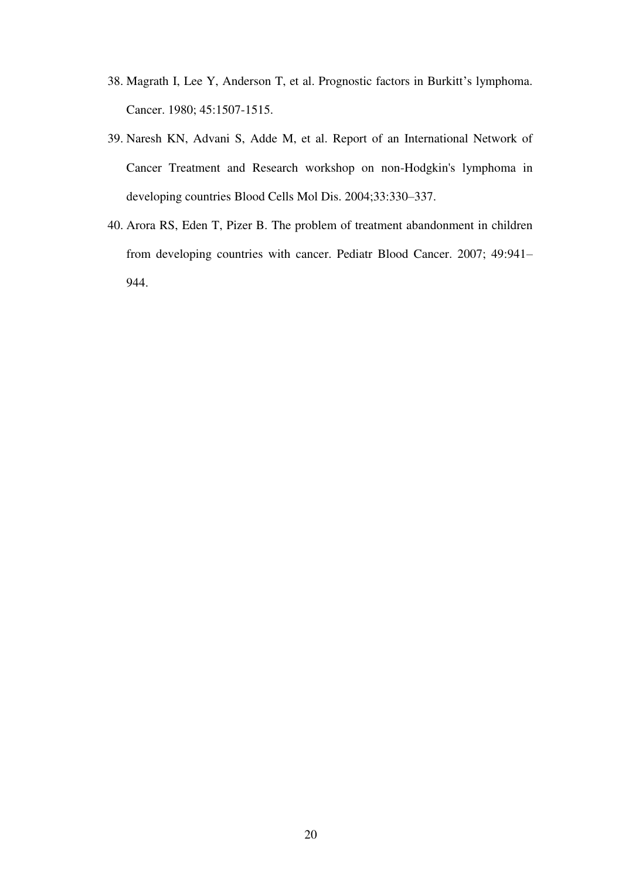- 38. Magrath I, Lee Y, Anderson T, et al. Prognostic factors in Burkitt's lymphoma. Cancer. 1980; 45:1507-1515.
- 39. Naresh KN, Advani S, Adde M, et al. Report of an International Network of Cancer Treatment and Research workshop on non-Hodgkin's lymphoma in developing countries Blood Cells Mol Dis. 2004;33:330–337.
- 40. Arora RS, Eden T, Pizer B. The problem of treatment abandonment in children from developing countries with cancer. Pediatr Blood Cancer. 2007; 49:941– 944.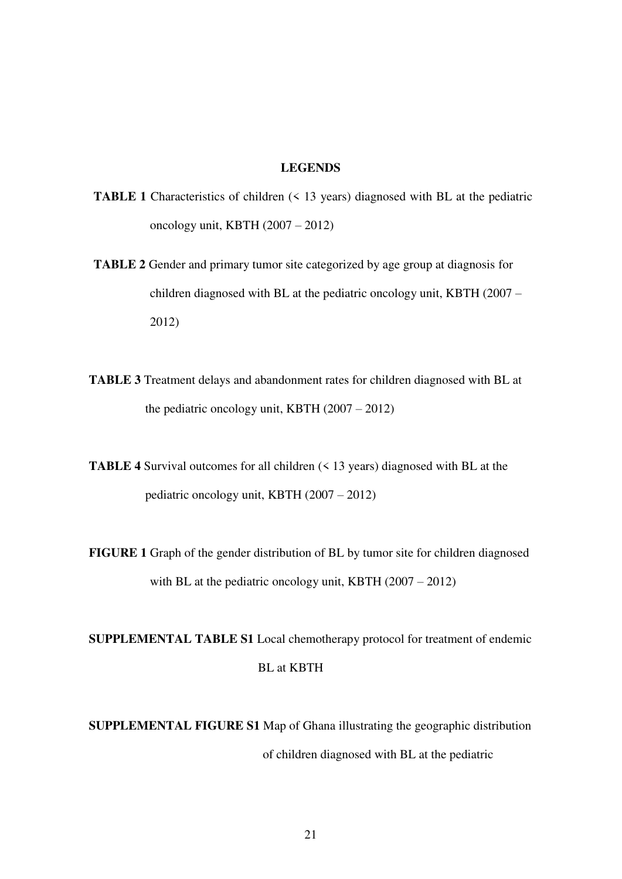# **LEGENDS**

- **TABLE 1** Characteristics of children (< 13 years) diagnosed with BL at the pediatric oncology unit, KBTH (2007 – 2012)
- **TABLE 2** Gender and primary tumor site categorized by age group at diagnosis for children diagnosed with BL at the pediatric oncology unit, KBTH (2007 – 2012)
- **TABLE 3** Treatment delays and abandonment rates for children diagnosed with BL at the pediatric oncology unit, KBTH (2007 – 2012)
- **TABLE 4** Survival outcomes for all children (< 13 years) diagnosed with BL at the pediatric oncology unit, KBTH (2007 – 2012)
- **FIGURE 1** Graph of the gender distribution of BL by tumor site for children diagnosed with BL at the pediatric oncology unit, KBTH (2007 – 2012)

**SUPPLEMENTAL TABLE S1** Local chemotherapy protocol for treatment of endemic BL at KBTH

**SUPPLEMENTAL FIGURE S1** Map of Ghana illustrating the geographic distribution of children diagnosed with BL at the pediatric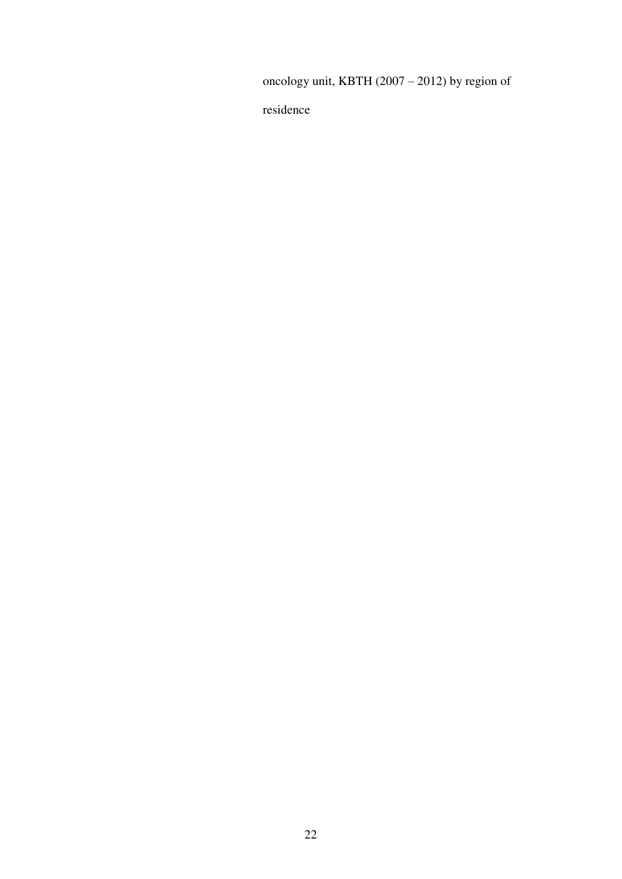oncology unit, KBTH (2007 – 2012) by region of

residence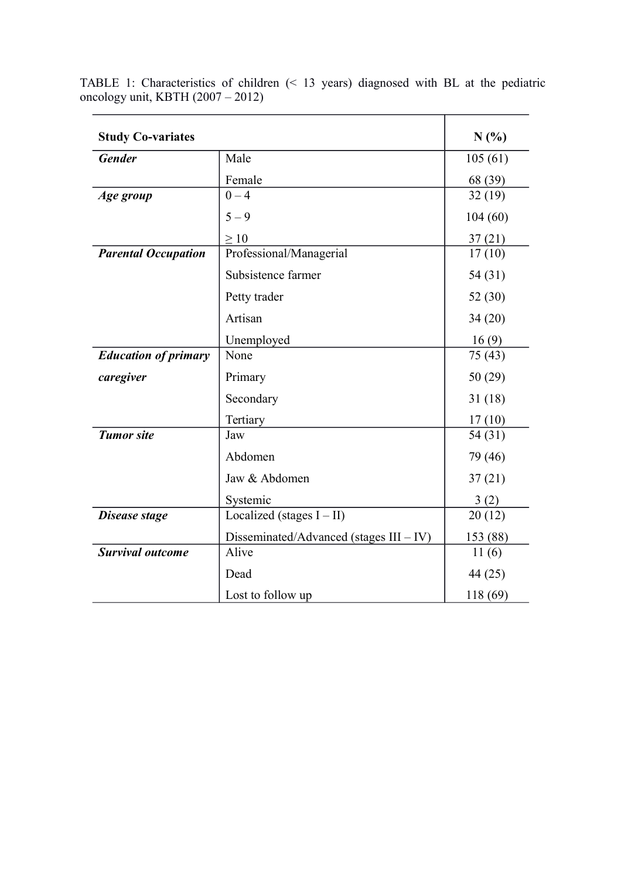| <b>Study Co-variates</b>    |                                            | N(%)     |
|-----------------------------|--------------------------------------------|----------|
|                             |                                            |          |
| <b>Gender</b>               | Male                                       | 105(61)  |
|                             | Female                                     | 68 (39)  |
| Age group                   | $0 - 4$                                    | 32(19)   |
|                             | $5 - 9$                                    | 104(60)  |
|                             | $\geq 10$                                  | 37(21)   |
| <b>Parental Occupation</b>  | Professional/Managerial                    | 17(10)   |
|                             | Subsistence farmer                         | 54 (31)  |
|                             | Petty trader                               | 52(30)   |
|                             | Artisan                                    | 34(20)   |
|                             | Unemployed                                 | 16(9)    |
| <b>Education of primary</b> | None                                       | 75(43)   |
| caregiver                   | Primary                                    | 50(29)   |
|                             | Secondary                                  | 31(18)   |
|                             | Tertiary                                   | 17(10)   |
| <b>Tumor</b> site           | Jaw                                        | 54 (31)  |
|                             | Abdomen                                    | 79 (46)  |
|                             | Jaw & Abdomen                              | 37(21)   |
|                             | Systemic                                   | 3(2)     |
| Disease stage               | Localized (stages $I - II$ )               | 20(12)   |
|                             | Disseminated/Advanced (stages $III - IV$ ) | 153 (88) |
| <b>Survival outcome</b>     | Alive                                      | 11(6)    |
|                             | Dead                                       | 44 (25)  |
|                             | Lost to follow up                          | 118 (69) |

TABLE 1: Characteristics of children (< 13 years) diagnosed with BL at the pediatric oncology unit, KBTH (2007 – 2012)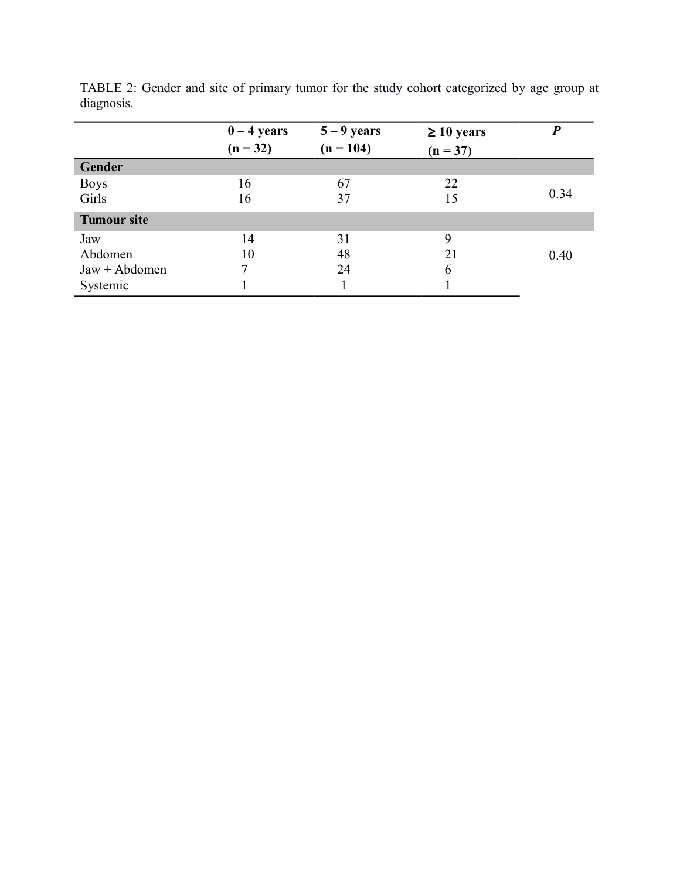|                    | $0 - 4$ years<br>$(n = 32)$ | $5 - 9$ years<br>$(n = 104)$ | $\geq 10$ years<br>$(n = 37)$ | D    |
|--------------------|-----------------------------|------------------------------|-------------------------------|------|
| Gender             |                             |                              |                               |      |
| <b>Boys</b>        | 16                          | 67                           | 22                            |      |
| Girls              | 16                          | 37                           | 15                            | 0.34 |
| <b>Tumour site</b> |                             |                              |                               |      |
| Jaw                | 14                          | 31                           | 9                             |      |
| Abdomen            | 10                          | 48                           | 21                            | 0.40 |
| $Jaw + Abdomen$    |                             | 24                           | 6                             |      |
| Systemic           |                             |                              |                               |      |

TABLE 2: Gender and site of primary tumor for the study cohort categorized by age group at diagnosis.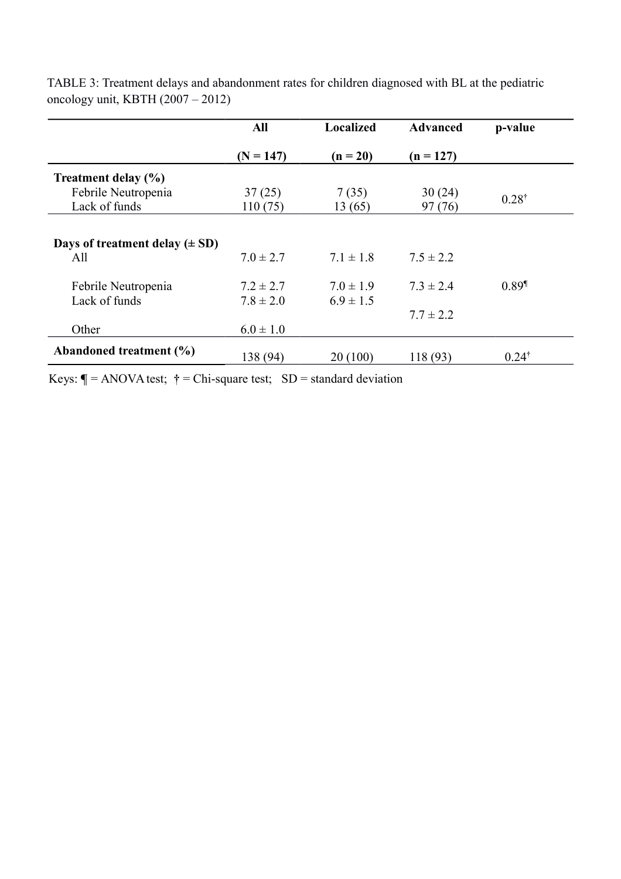|                                    | All           | Localized     | <b>Advanced</b> | p-value             |  |
|------------------------------------|---------------|---------------|-----------------|---------------------|--|
|                                    | $(N = 147)$   | $(n = 20)$    | $(n = 127)$     |                     |  |
| Treatment delay (%)                |               |               |                 |                     |  |
| Febrile Neutropenia                | 37(25)        | 7(35)         | 30(24)          |                     |  |
| Lack of funds                      | 110(75)       | 13(65)        | 97(76)          | $0.28^{\dagger}$    |  |
|                                    |               |               |                 |                     |  |
| Days of treatment delay $(\pm SD)$ |               |               |                 |                     |  |
| All                                | $7.0 \pm 2.7$ | $7.1 \pm 1.8$ | $7.5 \pm 2.2$   |                     |  |
| Febrile Neutropenia                | $7.2 \pm 2.7$ | $7.0 \pm 1.9$ | $7.3 \pm 2.4$   | $0.89$ <sup>1</sup> |  |
| Lack of funds                      | $7.8 \pm 2.0$ | $6.9 \pm 1.5$ |                 |                     |  |
|                                    |               |               | $7.7 \pm 2.2$   |                     |  |
| Other                              | $6.0 \pm 1.0$ |               |                 |                     |  |
| Abandoned treatment (%)            | 138 (94)      | 20(100)       | 118 (93)        | $0.24^{\dagger}$    |  |

TABLE 3: Treatment delays and abandonment rates for children diagnosed with BL at the pediatric oncology unit, KBTH (2007 – 2012)

Keys:  $\P$  = ANOVA test;  $\dagger$  = Chi-square test; SD = standard deviation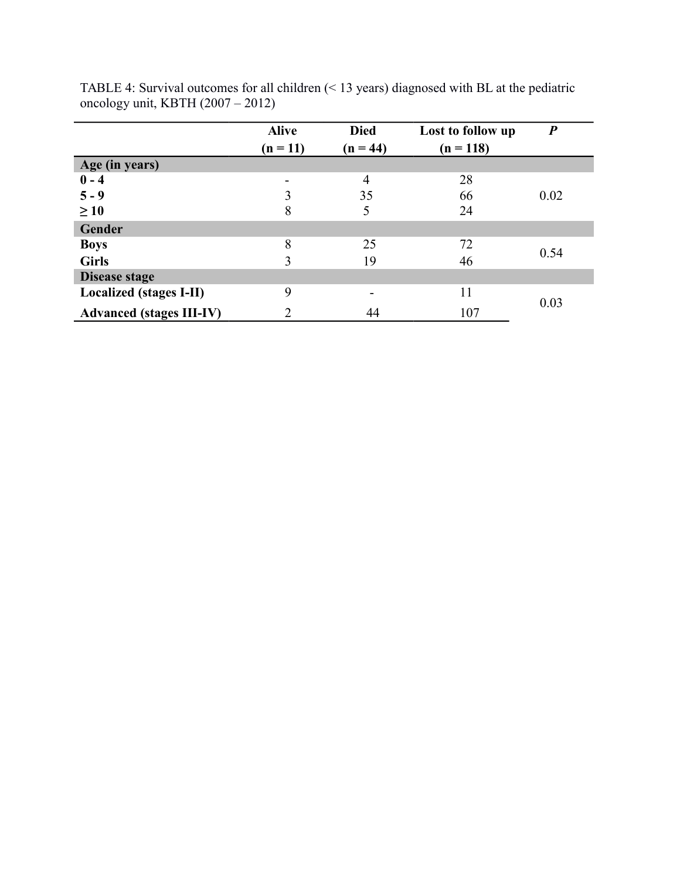|                                 | <b>Alive</b><br>$(n = 11)$ | <b>Died</b><br>$(n = 44)$ | Lost to follow up<br>$(n = 118)$ | $\boldsymbol{P}$ |  |
|---------------------------------|----------------------------|---------------------------|----------------------------------|------------------|--|
| Age (in years)                  |                            |                           |                                  |                  |  |
| $0 - 4$                         | $\overline{\phantom{a}}$   | 4                         | 28                               |                  |  |
| $5 - 9$                         | 3                          | 35                        | 66                               | 0.02             |  |
| $\geq 10$                       | 8                          | 5                         | 24                               |                  |  |
| Gender                          |                            |                           |                                  |                  |  |
| <b>Boys</b>                     | 8                          | 25                        | 72                               | 0.54             |  |
| <b>Girls</b>                    | 3                          | 19                        | 46                               |                  |  |
| Disease stage                   |                            |                           |                                  |                  |  |
| <b>Localized (stages I-II)</b>  | 9                          | -                         | 11                               |                  |  |
| <b>Advanced (stages III-IV)</b> | ↑                          | 44                        | 107                              | 0.03             |  |

TABLE 4: Survival outcomes for all children (< 13 years) diagnosed with BL at the pediatric oncology unit, KBTH (2007 – 2012)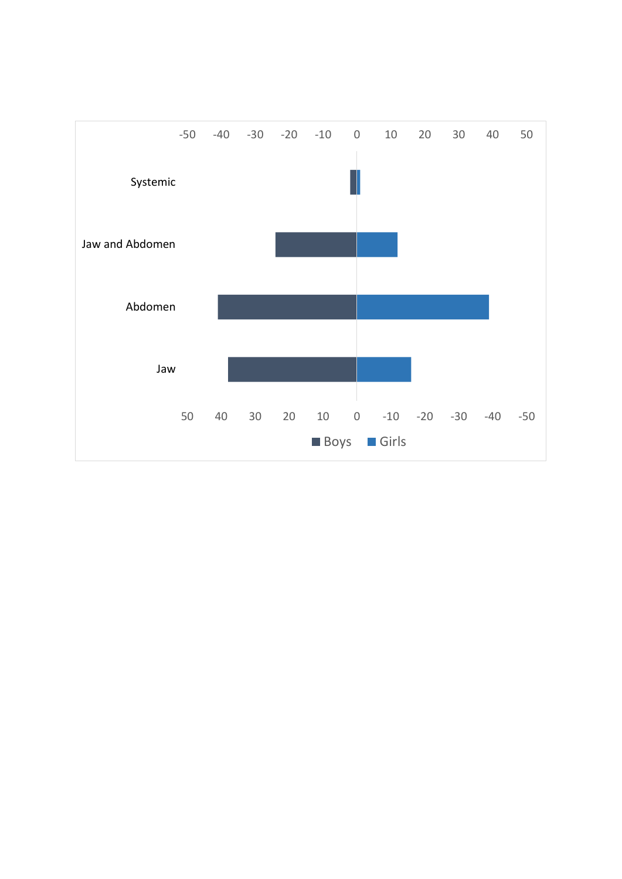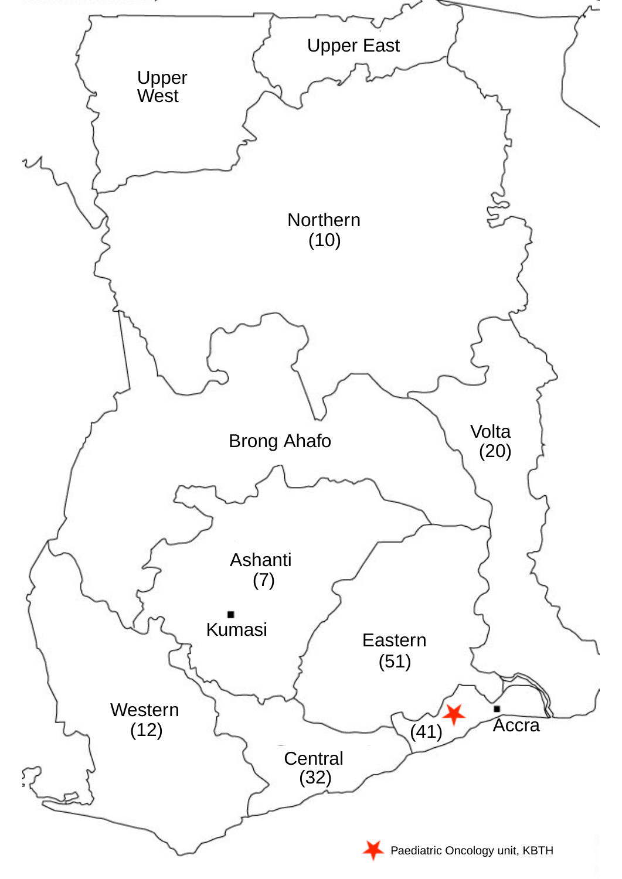